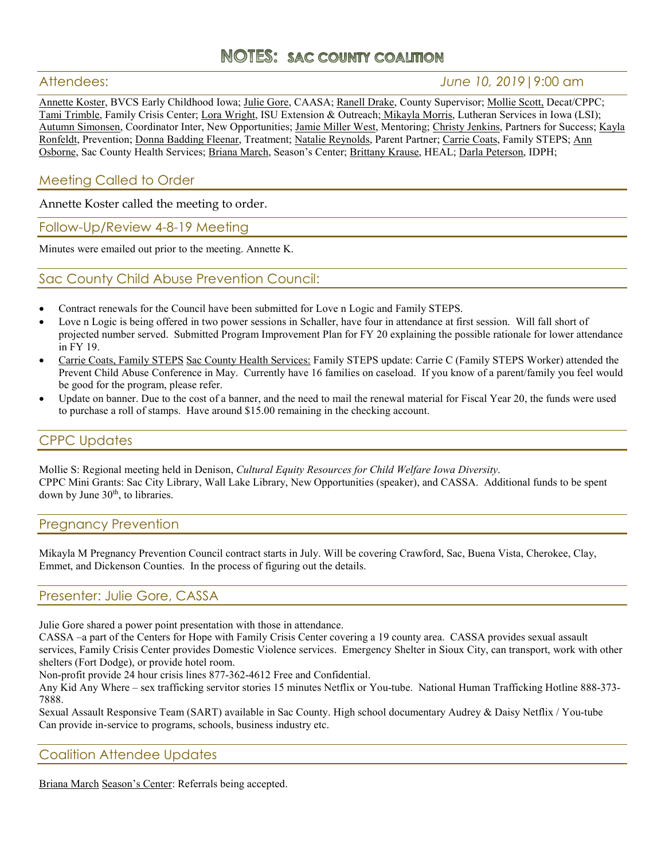# **NOTES: sac county coalition**

## Attendees: *June 10, 2019*|9:00 am

Annette Koster, BVCS Early Childhood Iowa; Julie Gore, CAASA; Ranell Drake, County Supervisor; Mollie Scott, Decat/CPPC; Tami Trimble, Family Crisis Center; Lora Wright, ISU Extension & Outreach; Mikayla Morris, Lutheran Services in Iowa (LSI); Autumn Simonsen, Coordinator Inter, New Opportunities; Jamie Miller West, Mentoring; Christy Jenkins, Partners for Success; Kayla Ronfeldt, Prevention; Donna Badding Fleenar, Treatment; Natalie Reynolds, Parent Partner; Carrie Coats, Family STEPS; Ann Osborne, Sac County Health Services; Briana March, Season's Center; Brittany Krause, HEAL; Darla Peterson, IDPH;

## Meeting Called to Order

Annette Koster called the meeting to order.

### Follow-Up/Review 4-8-19 Meeting

Minutes were emailed out prior to the meeting. Annette K.

## Sac County Child Abuse Prevention Council:

- Contract renewals for the Council have been submitted for Love n Logic and Family STEPS.
- Love n Logic is being offered in two power sessions in Schaller, have four in attendance at first session. Will fall short of projected number served. Submitted Program Improvement Plan for FY 20 explaining the possible rationale for lower attendance in FY 19.
- Carrie Coats, Family STEPS Sac County Health Services: Family STEPS update: Carrie C (Family STEPS Worker) attended the Prevent Child Abuse Conference in May. Currently have 16 families on caseload. If you know of a parent/family you feel would be good for the program, please refer.
- Update on banner. Due to the cost of a banner, and the need to mail the renewal material for Fiscal Year 20, the funds were used to purchase a roll of stamps. Have around \$15.00 remaining in the checking account.

## CPPC Updates

Mollie S: Regional meeting held in Denison, *Cultural Equity Resources for Child Welfare Iowa Diversity*. CPPC Mini Grants: Sac City Library, Wall Lake Library, New Opportunities (speaker), and CASSA. Additional funds to be spent down by June 30<sup>th</sup>, to libraries.

#### Pregnancy Prevention

Mikayla M Pregnancy Prevention Council contract starts in July. Will be covering Crawford, Sac, Buena Vista, Cherokee, Clay, Emmet, and Dickenson Counties. In the process of figuring out the details.

## Presenter: Julie Gore, CASSA

Julie Gore shared a power point presentation with those in attendance.

CASSA –a part of the Centers for Hope with Family Crisis Center covering a 19 county area. CASSA provides sexual assault services, Family Crisis Center provides Domestic Violence services. Emergency Shelter in Sioux City, can transport, work with other shelters (Fort Dodge), or provide hotel room.

Non-profit provide 24 hour crisis lines 877-362-4612 Free and Confidential.

Any Kid Any Where – sex trafficking servitor stories 15 minutes Netflix or You-tube. National Human Trafficking Hotline 888-373- 7888.

Sexual Assault Responsive Team (SART) available in Sac County. High school documentary Audrey & Daisy Netflix / You-tube Can provide in-service to programs, schools, business industry etc.

#### Coalition Attendee Updates

Briana March Season's Center: Referrals being accepted.